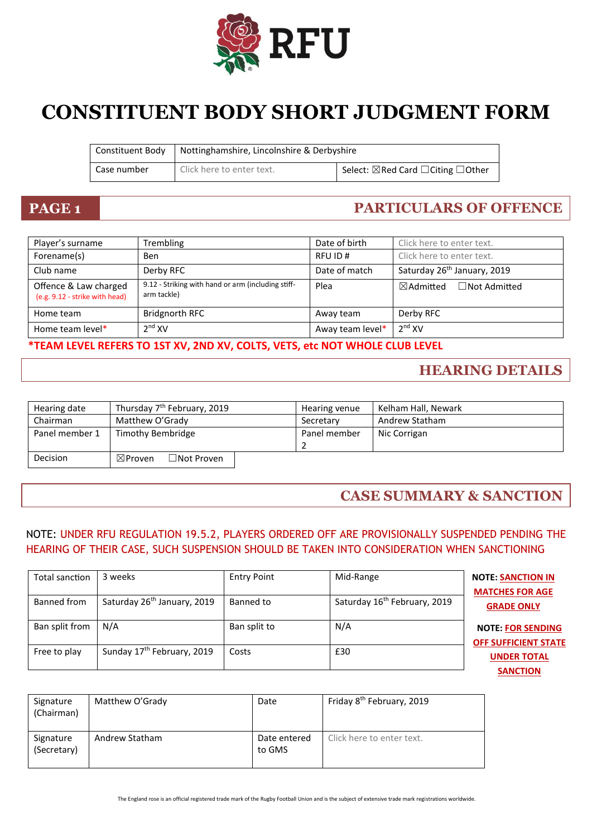

# **CONSTITUENT BODY SHORT JUDGMENT FORM**

| Constituent Body | Nottinghamshire, Lincolnshire & Derbyshire |                                                 |
|------------------|--------------------------------------------|-------------------------------------------------|
| Case number      | Click here to enter text.                  | <sup>1</sup> Select: ⊠Red Card □ Citing □ Other |

# **PAGE 1 PARTICULARS OF OFFENCE**

| Player's surname                                        | Trembling                                                         | Date of birth    | Click here to enter text.                   |
|---------------------------------------------------------|-------------------------------------------------------------------|------------------|---------------------------------------------|
| Forename(s)                                             | <b>Ben</b>                                                        | RFU ID#          | Click here to enter text.                   |
| Club name                                               | Derby RFC                                                         | Date of match    | Saturday 26 <sup>th</sup> January, 2019     |
| Offence & Law charged<br>(e.g. 9.12 - strike with head) | 9.12 - Striking with hand or arm (including stiff-<br>arm tackle) | Plea             | $\boxtimes$ Admitted<br>$\Box$ Not Admitted |
| Home team                                               | Bridgnorth RFC                                                    | Away team        | Derby RFC                                   |
| Home team level*                                        | 2 <sup>nd</sup> XV                                                | Away team level* | 2 <sup>nd</sup> XV                          |

### **\*TEAM LEVEL REFERS TO 1ST XV, 2ND XV, COLTS, VETS, etc NOT WHOLE CLUB LEVEL**

# **HEARING DETAILS**

| Hearing date   | Thursday 7 <sup>th</sup> February, 2019 | Hearing venue | Kelham Hall, Newark |
|----------------|-----------------------------------------|---------------|---------------------|
| Chairman       | Matthew O'Grady                         | Secretary     | Andrew Statham      |
| Panel member 1 | Timothy Bembridge                       | Panel member  | Nic Corrigan        |
| Decision       | $\Box$ Not Proven<br>$\boxtimes$ Proven |               |                     |

# **CASE SUMMARY & SANCTION**

### NOTE: UNDER RFU REGULATION 19.5.2, PLAYERS ORDERED OFF ARE PROVISIONALLY SUSPENDED PENDING THE HEARING OF THEIR CASE, SUCH SUSPENSION SHOULD BE TAKEN INTO CONSIDERATION WHEN SANCTIONING

| Total sanction | 3 weeks                                 | <b>Entry Point</b> | Mid-Range                                | <b>NOTE: SANCTION IN</b><br><b>MATCHES FOR AGE</b>      |
|----------------|-----------------------------------------|--------------------|------------------------------------------|---------------------------------------------------------|
| Banned from    | Saturday 26 <sup>th</sup> January, 2019 | Banned to          | Saturday 16 <sup>th</sup> February, 2019 | <b>GRADE ONLY</b>                                       |
| Ban split from | N/A                                     | Ban split to       | N/A                                      | <b>NOTE: FOR SENDING</b><br><b>OFF SUFFICIENT STATE</b> |
| Free to play   | Sunday 17th February, 2019              | Costs              | £30                                      | <b>UNDER TOTAL</b>                                      |
|                |                                         |                    |                                          | <b>SANCTION</b>                                         |

| Signature<br>(Chairman)  | Matthew O'Grady | Date                   | Friday 8 <sup>th</sup> February, 2019 |
|--------------------------|-----------------|------------------------|---------------------------------------|
| Signature<br>(Secretary) | Andrew Statham  | Date entered<br>to GMS | Click here to enter text.             |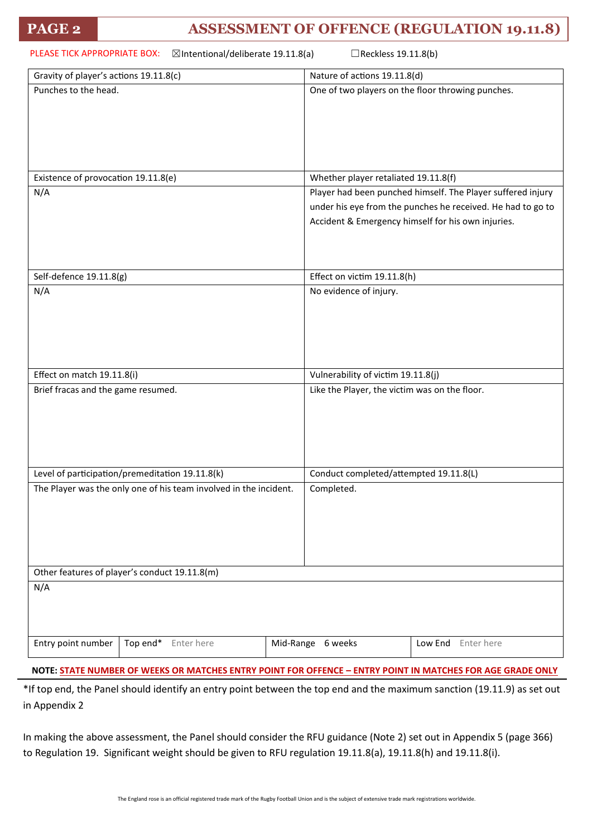| PLEASE TICK APPROPRIATE BOX:<br>$\boxtimes$ Intentional/deliberate 19.11.8(a)<br>$\Box$ Reckless 19.11.8(b) |                                                                   |                                               |                                                             |                                                    |  |
|-------------------------------------------------------------------------------------------------------------|-------------------------------------------------------------------|-----------------------------------------------|-------------------------------------------------------------|----------------------------------------------------|--|
| Gravity of player's actions 19.11.8(c)                                                                      |                                                                   | Nature of actions 19.11.8(d)                  |                                                             |                                                    |  |
| Punches to the head.                                                                                        |                                                                   |                                               |                                                             | One of two players on the floor throwing punches.  |  |
| Existence of provocation 19.11.8(e)                                                                         |                                                                   |                                               | Whether player retaliated 19.11.8(f)                        |                                                    |  |
| N/A                                                                                                         |                                                                   |                                               | Player had been punched himself. The Player suffered injury |                                                    |  |
|                                                                                                             |                                                                   |                                               | under his eye from the punches he received. He had to go to |                                                    |  |
|                                                                                                             |                                                                   |                                               |                                                             | Accident & Emergency himself for his own injuries. |  |
|                                                                                                             |                                                                   |                                               |                                                             |                                                    |  |
| Self-defence 19.11.8(g)                                                                                     |                                                                   |                                               | Effect on victim 19.11.8(h)                                 |                                                    |  |
| N/A                                                                                                         |                                                                   |                                               | No evidence of injury.                                      |                                                    |  |
| Effect on match 19.11.8(i)                                                                                  |                                                                   |                                               | Vulnerability of victim 19.11.8(j)                          |                                                    |  |
| Brief fracas and the game resumed.                                                                          |                                                                   | Like the Player, the victim was on the floor. |                                                             |                                                    |  |
| Level of participation/premeditation 19.11.8(k)                                                             |                                                                   | Conduct completed/attempted 19.11.8(L)        |                                                             |                                                    |  |
|                                                                                                             | The Player was the only one of his team involved in the incident. |                                               | Completed.                                                  |                                                    |  |
| Other features of player's conduct 19.11.8(m)                                                               |                                                                   |                                               |                                                             |                                                    |  |
| N/A                                                                                                         |                                                                   |                                               | Low End<br>Enter here                                       |                                                    |  |
| Entry point number<br>Top end*<br>Mid-Range 6 weeks<br>Enter here                                           |                                                                   |                                               |                                                             |                                                    |  |

**NOTE: STATE NUMBER OF WEEKS OR MATCHES ENTRY POINT FOR OFFENCE – ENTRY POINT IN MATCHES FOR AGE GRADE ONLY**

\*If top end, the Panel should identify an entry point between the top end and the maximum sanction (19.11.9) as set out in Appendix 2

In making the above assessment, the Panel should consider the RFU guidance (Note 2) set out in Appendix 5 (page 366) to Regulation 19. Significant weight should be given to RFU regulation 19.11.8(a), 19.11.8(h) and 19.11.8(i).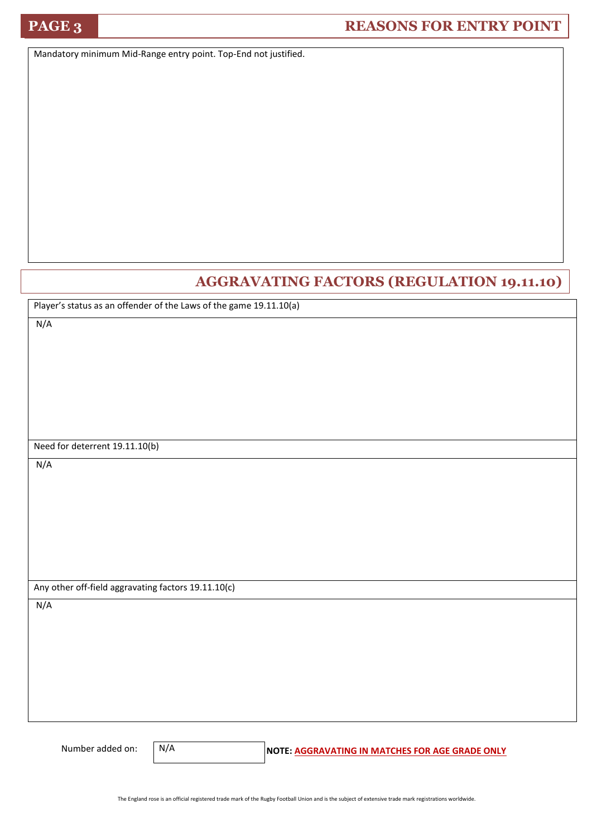# **PAGE 3 REASONS FOR ENTRY POINT**

Mandatory minimum Mid-Range entry point. Top-End not justified.

# **AGGRAVATING FACTORS (REGULATION 19.11.10)**

Player's status as an offender of the Laws of the game 19.11.10(a)

N/A

Need for deterrent 19.11.10(b)

N/A

Any other off-field aggravating factors 19.11.10(c)

N/A

N/A

Number added on: **N/A** NOTE: AGGRAVATING IN MATCHES FOR AGE GRADE ONLY